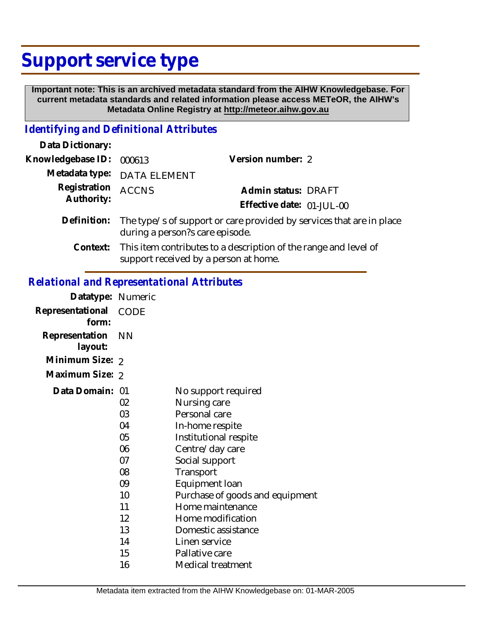# **Support service type**

 **Important note: This is an archived metadata standard from the AIHW Knowledgebase. For current metadata standards and related information please access METeOR, the AIHW's Metadata Online Registry at http://meteor.aihw.gov.au**

## *Identifying and Definitional Attributes*

| Data Dictionary:           |                                                                                                                    |                           |  |
|----------------------------|--------------------------------------------------------------------------------------------------------------------|---------------------------|--|
| Knowledgebase ID:          | 000613                                                                                                             | Version number: 2         |  |
|                            | Metadata type: DATA ELEMENT                                                                                        |                           |  |
| Registration<br>Authority: | <b>ACCNS</b>                                                                                                       | Admin status: DRAFT       |  |
|                            |                                                                                                                    | Effective date: 01-JUL-00 |  |
| Definition:                | The type/s of support or care provided by services that are in place<br>during a person?s care episode.            |                           |  |
|                            | Context: This item contributes to a description of the range and level of<br>support received by a person at home. |                           |  |

### *Relational and Representational Attributes*

| Datatype: Numeric         |           |                                 |
|---------------------------|-----------|---------------------------------|
| Representational<br>form: | CODE      |                                 |
| Representation<br>layout: | <b>NN</b> |                                 |
| Minimum Size: 2           |           |                                 |
| Maximum Size: 2           |           |                                 |
| Data Domain: 01           |           | No support required             |
|                           | 02        | Nursing care                    |
|                           | 03        | Personal care                   |
|                           | 04        | In-home respite                 |
|                           | 05        | Institutional respite           |
|                           | 06        | Centre/day care                 |
|                           | 07        | Social support                  |
|                           | 08        | Transport                       |
|                           | 09        | Equipment loan                  |
|                           | 10        | Purchase of goods and equipment |
|                           | 11        | Home maintenance                |
|                           | 12        | Home modification               |
|                           | 13        | Domestic assistance             |
|                           | 14        | Linen service                   |
|                           | 15        | Pallative care                  |
|                           | 16        | Medical treatment               |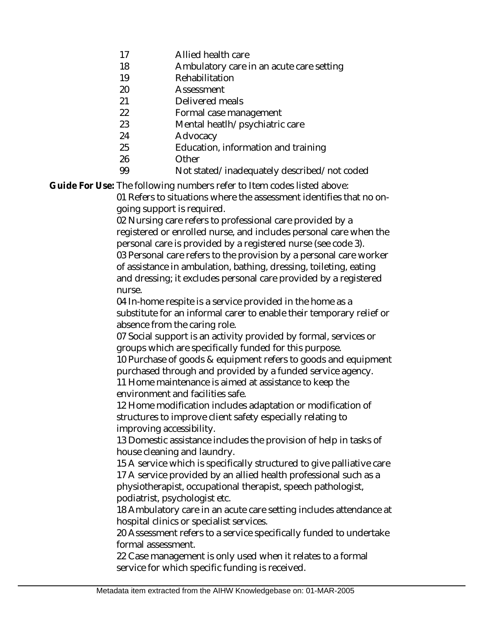- 17 Allied health care
- 18 Ambulatory care in an acute care setting
- 19 Rehabilitation
- 20 Assessment
- 21 Delivered meals
- 22 Formal case management
- 23 Mental heatlh/psychiatric care
- 24 Advocacy
- 25 Education, information and training
- 26 **Other** 
	- Not stated/inadequately described/not coded

Guide For Use: The following numbers refer to Item codes listed above:

01 Refers to situations where the assessment identifies that no ongoing support is required.

02 Nursing care refers to professional care provided by a registered or enrolled nurse, and includes personal care when the personal care is provided by a registered nurse (see code 3). 03 Personal care refers to the provision by a personal care worker of assistance in ambulation, bathing, dressing, toileting, eating and dressing; it excludes personal care provided by a registered

nurse.

99

04 In-home respite is a service provided in the home as a substitute for an informal carer to enable their temporary relief or absence from the caring role.

07 Social support is an activity provided by formal, services or groups which are specifically funded for this purpose.

10 Purchase of goods & equipment refers to goods and equipment purchased through and provided by a funded service agency.

11 Home maintenance is aimed at assistance to keep the environment and facilities safe.

12 Home modification includes adaptation or modification of structures to improve client safety especially relating to improving accessibility.

13 Domestic assistance includes the provision of help in tasks of house cleaning and laundry.

15 A service which is specifically structured to give palliative care 17 A service provided by an allied health professional such as a physiotherapist, occupational therapist, speech pathologist, podiatrist, psychologist etc.

18 Ambulatory care in an acute care setting includes attendance at hospital clinics or specialist services.

20 Assessment refers to a service specifically funded to undertake formal assessment.

22 Case management is only used when it relates to a formal service for which specific funding is received.